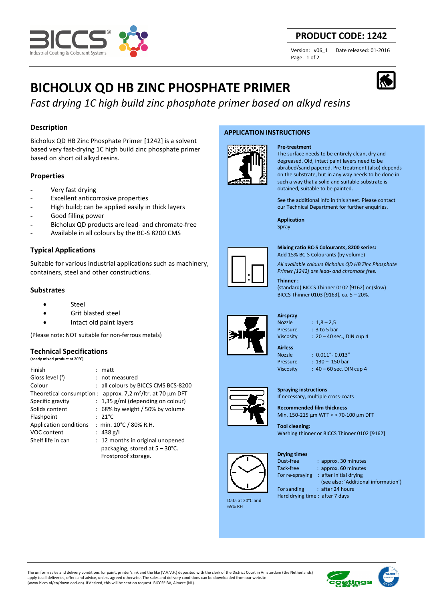

## **PRODUCT CODE: 1242**

Version: v06\_1 Date released: 01-2016 Page: 1 of 2

## **BICHOLUX QD HB ZINC PHOSPHATE PRIMER**

*Fast drying 1C high build zinc phosphate primer based on alkyd resins*

## **Description**

Bicholux QD HB Zinc Phosphate Primer [1242] is a solvent based very fast-drying 1C high build zinc phosphate primer based on short oil alkyd resins.

## **Properties**

- Very fast drying
- Excellent anticorrosive properties
- High build; can be applied easily in thick layers
- Good filling power
- Bicholux OD products are lead- and chromate-free
- Available in all colours by the BC-S 8200 CMS

## **Typical Applications**

Suitable for various industrial applications such as machinery, containers, steel and other constructions.

### **Substrates**

- **Steel**
- Grit blasted steel
- Intact old paint layers

(Please note: NOT suitable for non-ferrous metals)

### **Technical Specifications**

**(ready mixed product at 20°C)**

| Finish                 | $:$ matt                                                                     |
|------------------------|------------------------------------------------------------------------------|
| Gloss level (1)        | : not measured                                                               |
| Colour                 | : all colours by BICCS CMS BCS-8200                                          |
|                        | Theoretical consumption : approx. 7,2 m <sup>2</sup> /ltr. at 70 $\mu$ m DFT |
| Specific gravity       | $: 1,35$ g/ml (depending on colour)                                          |
| Solids content         | : 68% by weight / 50% by volume                                              |
| Flashpoint             | $: 21^{\circ}$ C                                                             |
| Application conditions | : min. $10^{\circ}$ C / 80% R.H.                                             |
| VOC content            | : 438 g/l                                                                    |
| Shelf life in can      | : 12 months in original unopened                                             |
|                        | packaging, stored at $5 - 30^{\circ}$ C.                                     |
|                        | Frostproof storage.                                                          |

#### **APPLICATION INSTRUCTIONS**



The surface needs to be entirely clean, dry and degreased. Old, intact paint layers need to be abrabed/sand papered. Pre-treatment (also) depends on the substrate, but in any way needs to be done in such a way that a solid and suitable substrate is obtained, suitable to be painted.

See the additional info in this sheet. Please contact our Technical Department for further enquiries.

**Application**  Spray

**Pre-treatment**



**Mixing ratio BC-S Colourants, 8200 series:** 

Add 15% BC-S Colourants (by volume)

*All available colours Bicholux QD HB Zinc Phosphate Primer [1242] are lead- and chromate free.*

#### **Thinner :**

(standard) BICCS Thinner 0102 [9162] or (slow) BICCS Thinner 0103 [9163], ca. 5 – 20%.

# **Airspray**  Nozzle : 1,8 – 2,5

**Airless** 

- Pressure : 3 to 5 bar Viscosity : 20 – 40 sec., DIN cup 4
- 

Nozzle : 0.011"- 0.013" Pressure : 130 - 150 bar Viscosity : 40 – 60 sec. DIN cup 4

**Spraying instructions**  If necessary, multiple cross-coats

#### **Recommended film thickness**  Min. 150-215 µm WFT < > 70-100 µm DFT

**Tool cleaning:**  Washing thinner or BICCS Thinner 0102 [9162]

**Drying times**



Tack-free : approx. 60 minutes

For re-spraying : after initial drying

 (see also: 'Additional information') For sanding : after 24 hours

Hard drying time : after 7 days



 Data at 20°C and 65% RH